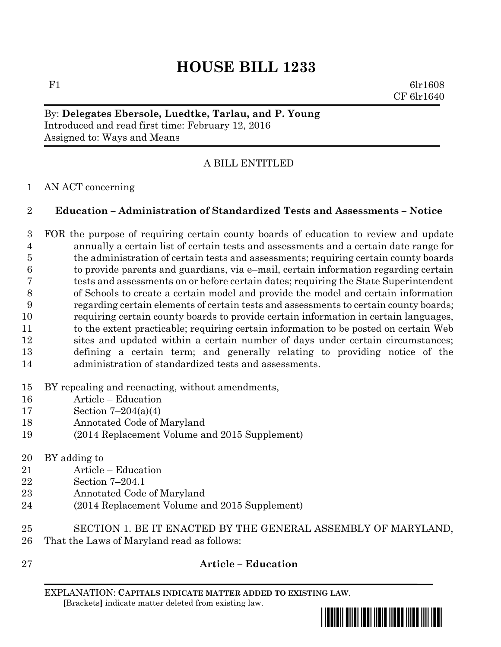# **HOUSE BILL 1233**

F1 6lr1608 CF 6lr1640

# By: **Delegates Ebersole, Luedtke, Tarlau, and P. Young** Introduced and read first time: February 12, 2016 Assigned to: Ways and Means

# A BILL ENTITLED

## AN ACT concerning

## **Education – Administration of Standardized Tests and Assessments – Notice**

 FOR the purpose of requiring certain county boards of education to review and update annually a certain list of certain tests and assessments and a certain date range for the administration of certain tests and assessments; requiring certain county boards to provide parents and guardians, via e–mail, certain information regarding certain tests and assessments on or before certain dates; requiring the State Superintendent of Schools to create a certain model and provide the model and certain information regarding certain elements of certain tests and assessments to certain county boards; requiring certain county boards to provide certain information in certain languages, to the extent practicable; requiring certain information to be posted on certain Web sites and updated within a certain number of days under certain circumstances; defining a certain term; and generally relating to providing notice of the administration of standardized tests and assessments.

## BY repealing and reenacting, without amendments,

- Article Education
- Section 7–204(a)(4)
- Annotated Code of Maryland
- (2014 Replacement Volume and 2015 Supplement)
- BY adding to
- Article Education
- Section 7–204.1
- Annotated Code of Maryland
- (2014 Replacement Volume and 2015 Supplement)
- SECTION 1. BE IT ENACTED BY THE GENERAL ASSEMBLY OF MARYLAND, That the Laws of Maryland read as follows:
- 

# **Article – Education**

EXPLANATION: **CAPITALS INDICATE MATTER ADDED TO EXISTING LAW**.  **[**Brackets**]** indicate matter deleted from existing law.

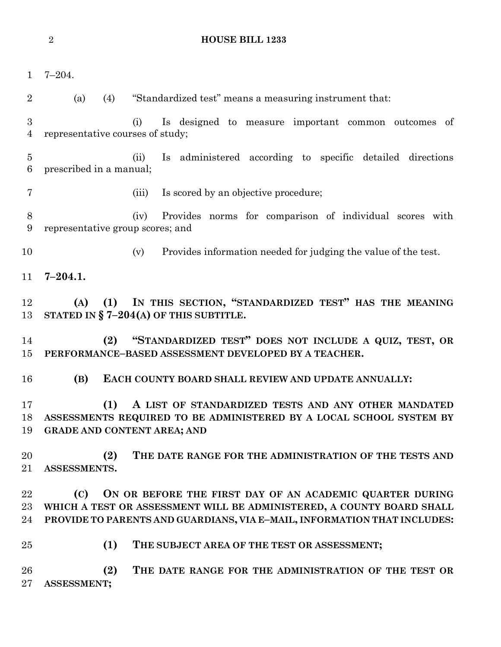|                                    | $\sqrt{2}$              |     | <b>HOUSE BILL 1233</b>                                                                                                                                                                                        |
|------------------------------------|-------------------------|-----|---------------------------------------------------------------------------------------------------------------------------------------------------------------------------------------------------------------|
|                                    |                         |     |                                                                                                                                                                                                               |
| $\mathbf{1}$                       | $7 - 204.$              |     |                                                                                                                                                                                                               |
| $\overline{2}$                     | (a)                     | (4) | "Standardized test" means a measuring instrument that:                                                                                                                                                        |
| 3<br>$\overline{4}$                |                         |     | (i)<br>Is designed to measure important common outcomes of<br>representative courses of study;                                                                                                                |
| $\overline{5}$<br>$\boldsymbol{6}$ | prescribed in a manual; |     | Is administered according to specific detailed directions<br>(ii)                                                                                                                                             |
| 7                                  |                         |     | Is scored by an objective procedure;<br>(iii)                                                                                                                                                                 |
| $8\,$<br>9                         |                         |     | (iv)<br>Provides norms for comparison of individual scores with<br>representative group scores; and                                                                                                           |
| 10                                 |                         |     | Provides information needed for judging the value of the test.<br>(v)                                                                                                                                         |
| 11                                 | $7 - 204.1.$            |     |                                                                                                                                                                                                               |
| 12<br>13                           | (A)                     | (1) | IN THIS SECTION, "STANDARDIZED TEST" HAS THE MEANING<br>STATED IN $\S$ 7-204(A) OF THIS SUBTITLE.                                                                                                             |
| 14<br>15                           |                         | (2) | "STANDARDIZED TEST" DOES NOT INCLUDE A QUIZ, TEST, OR<br>PERFORMANCE-BASED ASSESSMENT DEVELOPED BY A TEACHER.                                                                                                 |
| 16                                 | (B)                     |     | EACH COUNTY BOARD SHALL REVIEW AND UPDATE ANNUALLY:                                                                                                                                                           |
| 17<br>18<br>19                     |                         | (1) | A LIST OF STANDARDIZED TESTS AND ANY OTHER MANDATED<br>ASSESSMENTS REQUIRED TO BE ADMINISTERED BY A LOCAL SCHOOL SYSTEM BY<br><b>GRADE AND CONTENT AREA; AND</b>                                              |
| 20<br>21                           | ASSESSMENTS.            | (2) | THE DATE RANGE FOR THE ADMINISTRATION OF THE TESTS AND                                                                                                                                                        |
| 22<br>23<br>24                     | (C)                     |     | ON OR BEFORE THE FIRST DAY OF AN ACADEMIC QUARTER DURING<br>WHICH A TEST OR ASSESSMENT WILL BE ADMINISTERED, A COUNTY BOARD SHALL<br>PROVIDE TO PARENTS AND GUARDIANS, VIA E-MAIL, INFORMATION THAT INCLUDES: |
| 25                                 |                         | (1) | THE SUBJECT AREA OF THE TEST OR ASSESSMENT;                                                                                                                                                                   |
| 26<br>27                           | ASSESSMENT;             | (2) | THE DATE RANGE FOR THE ADMINISTRATION OF THE TEST OR                                                                                                                                                          |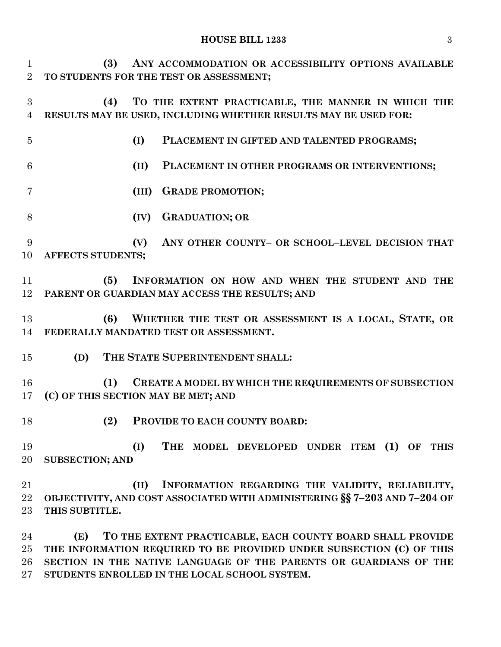#### **HOUSE BILL 1233** 3

| $\mathbf{1}$<br>$\overline{2}$ | (3)<br>ANY ACCOMMODATION OR ACCESSIBILITY OPTIONS AVAILABLE<br>TO STUDENTS FOR THE TEST OR ASSESSMENT;                                                  |
|--------------------------------|---------------------------------------------------------------------------------------------------------------------------------------------------------|
| 3<br>$\overline{4}$            | TO THE EXTENT PRACTICABLE, THE MANNER IN WHICH THE<br>(4)<br>RESULTS MAY BE USED, INCLUDING WHETHER RESULTS MAY BE USED FOR:                            |
| $\overline{5}$                 | (I)<br>PLACEMENT IN GIFTED AND TALENTED PROGRAMS;                                                                                                       |
| 6                              | (II)<br>PLACEMENT IN OTHER PROGRAMS OR INTERVENTIONS;                                                                                                   |
| 7                              | <b>GRADE PROMOTION;</b><br>(III)                                                                                                                        |
| 8                              | <b>GRADUATION; OR</b><br>(IV)                                                                                                                           |
| 9<br>10                        | (V)<br>ANY OTHER COUNTY- OR SCHOOL-LEVEL DECISION THAT<br>AFFECTS STUDENTS;                                                                             |
| 11<br>12                       | (5)<br>INFORMATION ON HOW AND WHEN THE STUDENT AND THE<br>PARENT OR GUARDIAN MAY ACCESS THE RESULTS; AND                                                |
| 13<br>14                       | WHETHER THE TEST OR ASSESSMENT IS A LOCAL, STATE, OR<br>(6)<br>FEDERALLY MANDATED TEST OR ASSESSMENT.                                                   |
| 15                             | THE STATE SUPERINTENDENT SHALL:<br>(D)                                                                                                                  |
| 16<br>17                       | (1)<br>CREATE A MODEL BY WHICH THE REQUIREMENTS OF SUBSECTION<br>(C) OF THIS SECTION MAY BE MET; AND                                                    |
| 18                             | (2)<br>PROVIDE TO EACH COUNTY BOARD:                                                                                                                    |
| 19<br>20                       | (I)<br>THE MODEL DEVELOPED UNDER ITEM (1) OF THIS<br><b>SUBSECTION; AND</b>                                                                             |
| 21<br>22<br>$23\,$             | (II)<br>INFORMATION REGARDING THE VALIDITY, RELIABILITY,<br>OBJECTIVITY, AND COST ASSOCIATED WITH ADMINISTERING §§ 7-203 AND 7-204 OF<br>THIS SUBTITLE. |
|                                |                                                                                                                                                         |

 **(E) TO THE EXTENT PRACTICABLE, EACH COUNTY BOARD SHALL PROVIDE THE INFORMATION REQUIRED TO BE PROVIDED UNDER SUBSECTION (C) OF THIS SECTION IN THE NATIVE LANGUAGE OF THE PARENTS OR GUARDIANS OF THE STUDENTS ENROLLED IN THE LOCAL SCHOOL SYSTEM.**